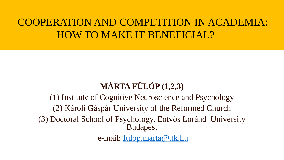### COOPERATION AND COMPETITION IN ACADEMIA: HOW TO MAKE IT BENEFICIAL?

### **MÁRTA FÜLÖP (1,2,3)**

(1) Institute of Cognitive Neuroscience and Psychology (2) Károli Gáspár University of the Reformed Church (3) Doctoral School of Psychology, Eötvös Loránd University Budapest e-mail: [fulop.marta@ttk.hu](mailto:fulop.marta@ttk.mta.hu)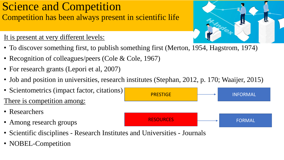### Science and Competition Competition has been always present in scientific life

#### It is present at very different levels:

- To discover something first, to publish something first (Merton, 1954, Hagstrom, 1974)
- Recognition of colleagues/peers (Cole & Cole, 1967)
- For research grants (Lepori et al, 2007)
- Job and position in universities, research institutes (Stephan, 2012, p. 170; Waaijer, 2015)
- Scientometrics (impact factor, citations) There is competition among: • Researchers • Among research groups **PRESTIGE** RESOURCES INFORMAL FORMAL
- Scientific disciplines Research Institutes and Universities Journals
- NOBEL-Competition

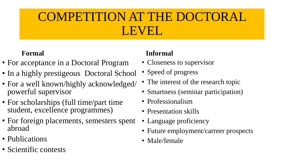# COMPETITION AT THE DOCTORAL LEVEL

#### **Formal**

- For acceptance in a Doctoral Program
- In a highly prestigeous Doctoral School
- For a well known/highly acknowledged/ powerful supervisor
- For scholarships (full time/part time student, excellence programmes)
- For foreign placements, semesters spent abroad
- Publications
- Scientific contests

#### **Informal**

- Closeness to supervisor
- Speed of progress
- The interest of the research topic
- Smartness (seminar participation)
- Professionalism
- Presentation skills
- Language proficiency
- Future employment/carreer prospects
- Male/female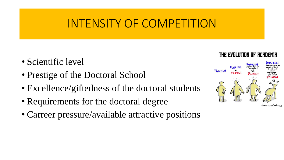## INTENSITY OF COMPETITION

- Scientific level
- Prestige of the Doctoral School
- Excellence/giftedness of the doctoral students
- Requirements for the doctoral degree
- Carreer pressure/available attractive positions



THE EVOLUTION OF RCRDEMIR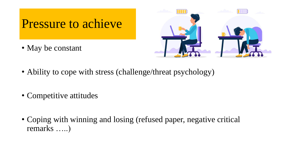## Pressure to achieve

• May be constant



- Ability to cope with stress (challenge/threat psychology)
- Competitive attitudes
- Coping with winning and losing (refused paper, negative critical remarks …..)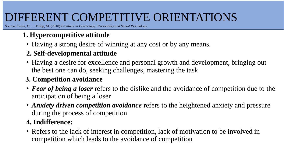## DIFFERENT COMPETITIVE ORIENTATIONS

Source: Orosz, G, .... Fülöp, M. (2018) *Frontiers in Psychology: Personality and Social Psychology*.

#### **1. Hypercompetitive attitude**

• Having a strong desire of winning at any cost or by any means.

#### **2. Self-developmental attitude**

• Having a desire for excellence and personal growth and development, bringing out the best one can do, seeking challenges, mastering the task

#### **3. Competition avoidance**

- *Fear of being a loser* refers to the dislike and the avoidance of competition due to the anticipation of being a loser
- *Anxiety driven competition avoidance* refers to the heightened anxiety and pressure during the process of competition

#### **4. Indifference:**

• Refers to the lack of interest in competition, lack of motivation to be involved in competition which leads to the avoidance of competition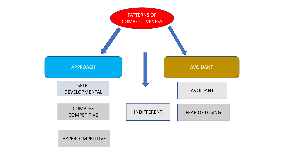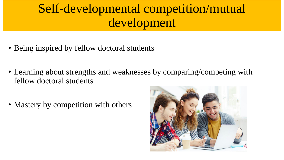# Self-developmental competition/mutual development

- Being inspired by fellow doctoral students
- Learning about strengths and weaknesses by comparing/competing with fellow doctoral students
- Mastery by competition with others

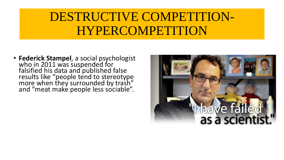## DESTRUCTIVE COMPETITION-HYPERCOMPETITION

• **Federick Stampel**, a social psychologist who in 2011 was suspended for falsified his data and published false results like "people tend to stereotype more when they surrounded by trash" and "meat make people less sociable".

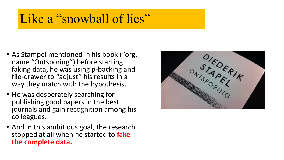## Like a "snowball of lies"

- As Stampel mentioned in his book ("org. name "Ontsporing") before starting faking data, he was using p-backing and file-drawer to "adjust" his results in a way they match with the hypothesis.
- He was desperately searching for publishing good papers in the best journals and gain recognition among his colleagues.
- And in this ambitious goal, the research stopped at all when he started to **fake the complete data.**

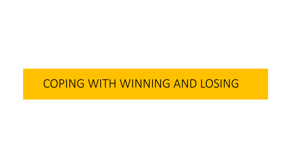### COPING WITH WINNING AND LOSING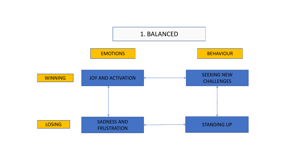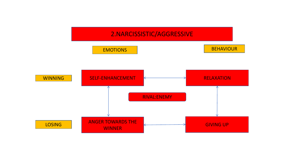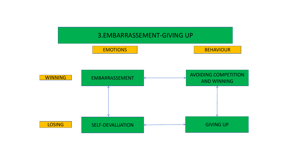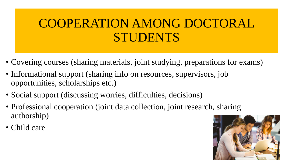# COOPERATION AMONG DOCTORAL STUDENTS

- Covering courses (sharing materials, joint studying, preparations for exams)
- Informational support (sharing info on resources, supervisors, job opportunities, scholarships etc.)
- Social support (discussing worries, difficulties, decisions)
- Professional cooperation (joint data collection, joint research, sharing authorship)
- Child care

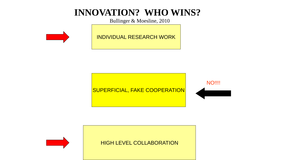### **INNOVATION? WHO WINS?**

Bullinger & Moesline, 2010



INDIVIDUAL RESEARCH WORK



**NO!!!!**